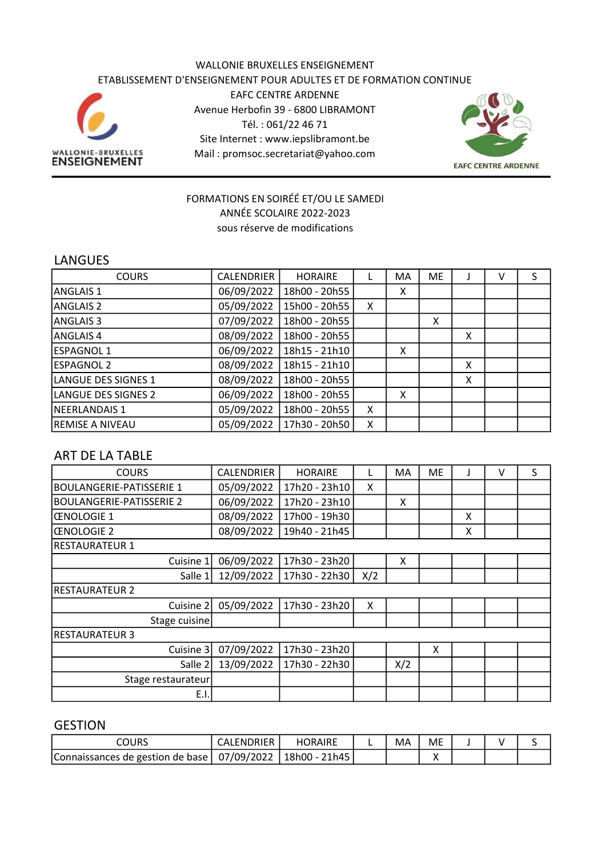#### WALLONIE BRUXELLES ENSEIGNEMENT ETABLISSEMENT D'ENSEIGNEMENT POUR ADULTES ET DE FORMATION CONTINUE EAFC CENTRE ARDENNE Avenue Herbofin 39 - 6800 LIBRAMONT Tél. : 061/22 46 71 Site Internet : www.iepslibramont.be WALLONIE-BRUXELLES<br>ENSEIGNEMENT Mail : promsoc.secretariat@yahoo.com



#### FORMATIONS EN SOIRÉÉ ET/OU LE SAMEDI ANNÉE SCOLAIRE 2022-2023 sous réserve de modifications

#### LANGUES

| <b>COURS</b>           | CALENDRIER | <b>HORAIRE</b> |   | MA | <b>ME</b> |   | v | S |
|------------------------|------------|----------------|---|----|-----------|---|---|---|
| ANGLAIS 1              | 06/09/2022 | 18h00 - 20h55  |   | x  |           |   |   |   |
| <b>ANGLAIS 2</b>       | 05/09/2022 | 15h00 - 20h55  | X |    |           |   |   |   |
| ANGLAIS <sub>3</sub>   | 07/09/2022 | 18h00 - 20h55  |   |    | X         |   |   |   |
| ANGLAIS 4              | 08/09/2022 | 18h00 - 20h55  |   |    |           | X |   |   |
| <b>ESPAGNOL 1</b>      | 06/09/2022 | 18h15 - 21h10  |   | X  |           |   |   |   |
| <b>ESPAGNOL 2</b>      | 08/09/2022 | 18h15 - 21h10  |   |    |           | Χ |   |   |
| LANGUE DES SIGNES 1    | 08/09/2022 | 18h00 - 20h55  |   |    |           | X |   |   |
| LANGUE DES SIGNES 2    | 06/09/2022 | 18h00 - 20h55  |   | Χ  |           |   |   |   |
| NEERLANDAIS 1          | 05/09/2022 | 18h00 - 20h55  | X |    |           |   |   |   |
| <b>REMISE A NIVEAU</b> | 05/09/2022 | 17h30 - 20h50  | X |    |           |   |   |   |

# ART DE LA TABLE

| <b>COURS</b>                    | CALENDRIER | <b>HORAIRE</b> | L   | MA  | ME |   | v | S |
|---------------------------------|------------|----------------|-----|-----|----|---|---|---|
| <b>BOULANGERIE-PATISSERIE 1</b> | 05/09/2022 | 17h20 - 23h10  | X   |     |    |   |   |   |
| <b>BOULANGERIE-PATISSERIE 2</b> | 06/09/2022 | 17h20 - 23h10  |     | X   |    |   |   |   |
| <b>ŒNOLOGIE 1</b>               | 08/09/2022 | 17h00 - 19h30  |     |     |    | x |   |   |
| <b>ŒNOLOGIE 2</b>               | 08/09/2022 | 19h40 - 21h45  |     |     |    | X |   |   |
| <b>RESTAURATEUR 1</b>           |            |                |     |     |    |   |   |   |
| Cuisine 1                       | 06/09/2022 | 17h30 - 23h20  |     | X   |    |   |   |   |
| Salle 1                         | 12/09/2022 | 17h30 - 22h30  | X/2 |     |    |   |   |   |
| <b>RESTAURATEUR 2</b>           |            |                |     |     |    |   |   |   |
| Cuisine 2                       | 05/09/2022 | 17h30 - 23h20  | X   |     |    |   |   |   |
| Stage cuisine                   |            |                |     |     |    |   |   |   |
| <b>RESTAURATEUR 3</b>           |            |                |     |     |    |   |   |   |
| Cuisine 3                       | 07/09/2022 | 17h30 - 23h20  |     |     | X  |   |   |   |
| Salle 2                         | 13/09/2022 | 17h30 - 22h30  |     | X/2 |    |   |   |   |
| Stage restaurateur              |            |                |     |     |    |   |   |   |
| E.I.                            |            |                |     |     |    |   |   |   |

#### GESTION

| COURS                            | <b>IDRIER</b><br>CAL.<br>⊦N⊺ | <b>HORAIRE</b>     | M۵ | ME |  |  |
|----------------------------------|------------------------------|--------------------|----|----|--|--|
| Connaissances de gestion de base | 07/09/2022                   | $18h00 -$<br>21h45 |    |    |  |  |